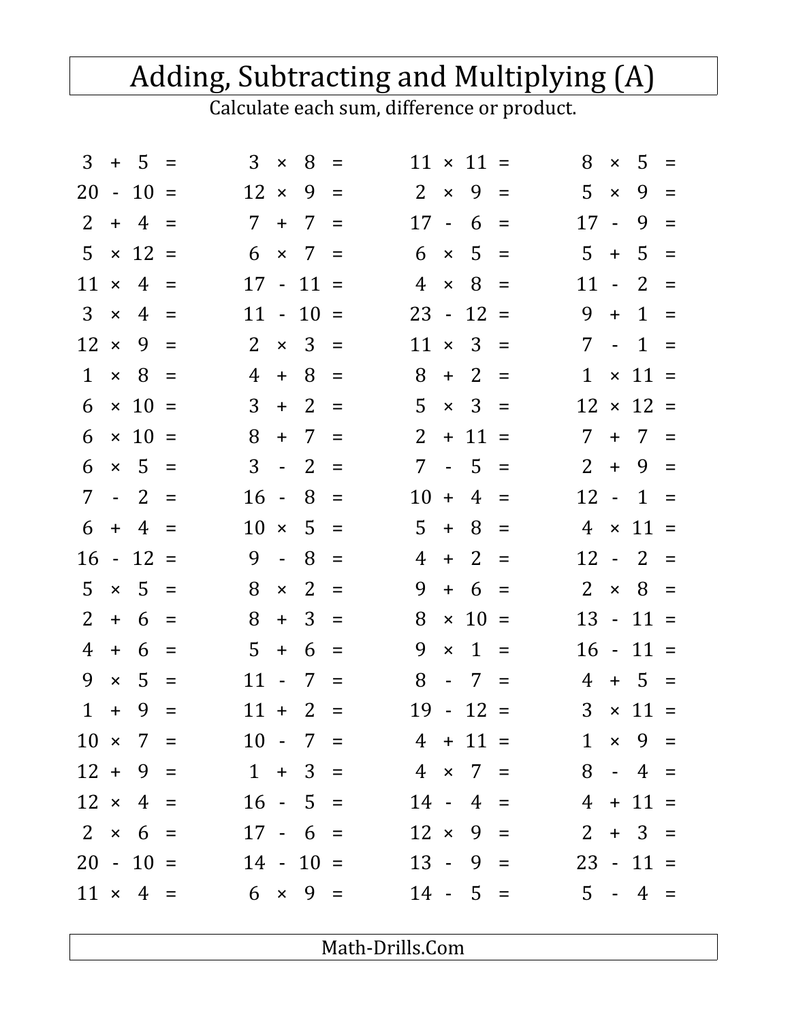## Adding, Subtracting and Multiplying (A)

Calculate each sum, difference or product.

|                |              | $3 + 5 =$       |          |                              | $3 \times$          | 8            | $\equiv$ | $\times$ 5 =<br>8<br>$11 \times 11 =$                                      |
|----------------|--------------|-----------------|----------|------------------------------|---------------------|--------------|----------|----------------------------------------------------------------------------|
|                |              | $20 - 10 =$     |          | $12 \times$                  |                     | 9            | $=$      | $2 \times$<br>$9 =$<br>5.<br>9<br>$\mathsf{x}$<br>$=$                      |
| $2^{\circ}$    |              | $+ 4 =$         |          | 7 <sup>7</sup>               |                     | $+$ 7        | $\equiv$ | $17 - 6$<br>$17 -$<br>9<br>$=$<br>$=$                                      |
| 5              |              | $\times$ 12 =   |          | 6                            |                     | $\times$ 7   | $=$      | $5 =$<br>$5 +$<br>$5 =$<br>6<br>$\mathsf{x}$                               |
| 11             |              | $\times$ 4      | $=$      |                              |                     | $17 - 11 =$  |          | $\overline{4}$<br>8<br>$11 -$<br>2<br>$\mathsf{x}$<br>$\equiv$<br>$\equiv$ |
| 3 <sup>1</sup> | $\mathsf{x}$ | 4               | $=$      |                              |                     | $11 - 10 =$  |          | $23 - 12 =$<br>9<br>$1 =$<br>$+$                                           |
| $12 \times$    |              | 9               | $\equiv$ | 2                            |                     | $\times$ 3 = |          | $11 \times 3 =$<br>7<br>$-1 =$                                             |
| $\mathbf{1}$   |              | $\times$ 8      | $\equiv$ | 4                            | $+$                 | 8            | $\equiv$ | 8<br>2<br>$\times$ 11 =<br>$\mathbf{1}$<br>$+$<br>$=$                      |
| 6              |              | $\times$ 10 =   |          | 3                            |                     | $+2$         | $=$      | 5<br>$3 =$<br>$12 \times 12 =$<br>$\mathsf{x}$                             |
| 6              |              | $\times$ 10     | $=$      | 8                            | $+$                 | 7            | $=$      | 2 <sup>1</sup><br>$+ 11 =$<br>$7^{\circ}$<br>$+$ 7<br>$\equiv$             |
| 6              |              | $\times$ 5      | $\equiv$ | 3                            |                     | $-2$         | $=$      | $+9$<br>7 - 5<br>2 <sup>1</sup><br>$\equiv$<br>$\equiv$                    |
| 7 <sup>1</sup> |              | $-2$            | $\equiv$ | $16 -$                       |                     | 8            | $\equiv$ | $12 - 1$<br>$10 +$<br>4<br>$=$<br>$=$                                      |
| 6              |              | $+4$            | $\equiv$ | 10                           | $\mathsf{x}$        | 5            | $=$      | 5<br>$+$<br>4 <sup>1</sup><br>8<br>$\times$ 11 =<br>$=$                    |
|                |              | $16 - 12$       | $=$      | 9                            | $\omega_{\rm{eff}}$ | 8            | $\equiv$ | 4<br>2<br>$12 - 2$<br>$+$<br>$=$<br>$\equiv$                               |
| 5.             |              | $\times$ 5      | $\equiv$ | 8                            | $\pmb{\times}$      | 2            | $\equiv$ | 2 <sup>1</sup><br>9<br>$\times$ 8 =<br>$+ 6$<br>$=$                        |
| $\overline{2}$ |              | $+ 6$           | $\equiv$ | 8                            | $+$                 | 3            | $=$      | 8<br>$\times$ 10 =<br>$13 - 11 =$                                          |
| 4              | $+$          | 6               | $\equiv$ | 5                            | $+$                 | 6            | $=$      | 9<br>$\mathbf{1}$<br>$16 - 11 =$<br>$\pmb{\times}$<br>$\equiv$             |
| 9              | $\times$     | 5               | $\equiv$ | $11 -$                       |                     | 7            | $=$      | 8<br>$+ 5 =$<br>$-7 =$<br>4                                                |
| $\mathbf{1}$   | $+$          | -9              | $\equiv$ |                              |                     | $11 + 2$     | $=$      | $19 - 12 =$<br>3<br>$\times$ 11 =                                          |
|                |              |                 |          | $10 \times 7 =$              |                     |              |          | $10 - 7 =$<br>$1 \times 9 =$<br>$4 + 11 =$                                 |
|                |              |                 |          |                              |                     |              |          | $8 - 4 =$<br>$12 + 9 = 1 + 3 = 4 \times 7 =$                               |
|                |              | $12 \times 4 =$ |          | $16 - 5 =$                   |                     |              |          | $4 + 11 =$<br>$14 - 4 =$                                                   |
|                |              | $2 \times 6 =$  |          | $17 - 6 =$                   |                     |              |          | $12 \times 9 =$<br>$2 + 3 =$                                               |
|                |              |                 |          |                              |                     |              |          | $20 - 10 = 14 - 10 = 13 - 9 =$<br>$23 - 11 =$                              |
|                |              |                 |          | $11 \times 4 = 6 \times 9 =$ |                     |              |          | $14 - 5 =$<br>$5 - 4 =$                                                    |
|                |              |                 |          |                              |                     |              |          |                                                                            |

Math-Drills.Com